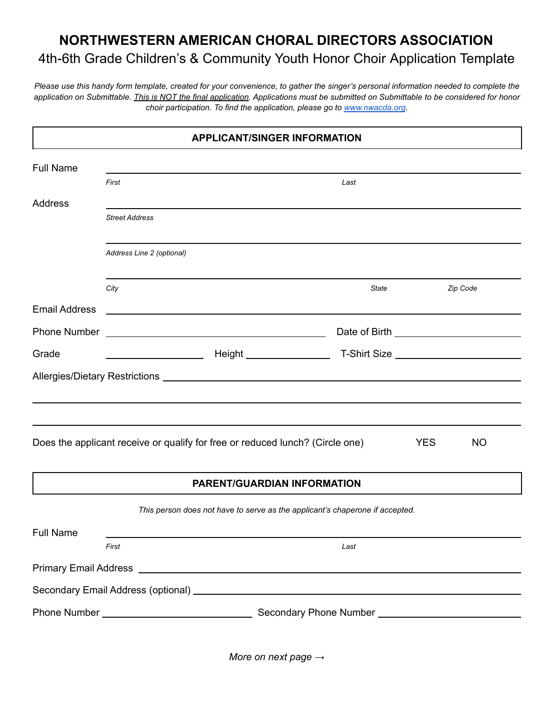## **NORTHWESTERN AMERICAN CHORAL DIRECTORS ASSOCIATION** 4th-6th Grade Children's & Community Youth Honor Choir Application Template

*Please use this handy form template, created for your convenience, to gather the singer's personal information needed to complete the application on Submittable. This is NOT the final application. Applications must be submitted on Submittable to be considered for honor choir participation. To find the application, please go to [www.nwacda.org](http://www.nwacda.org).*

| <b>APPLICANT/SINGER INFORMATION</b>                                                                      |                                                                              |                                                                                                                                                                                                                               |                                                            |  |          |  |  |  |  |
|----------------------------------------------------------------------------------------------------------|------------------------------------------------------------------------------|-------------------------------------------------------------------------------------------------------------------------------------------------------------------------------------------------------------------------------|------------------------------------------------------------|--|----------|--|--|--|--|
| <b>Full Name</b>                                                                                         |                                                                              | the control of the control of the control of the control of the control of the control of the control of the control of the control of the control of the control of the control of the control of the control of the control |                                                            |  |          |  |  |  |  |
|                                                                                                          | First                                                                        |                                                                                                                                                                                                                               | Last                                                       |  |          |  |  |  |  |
| Address                                                                                                  |                                                                              |                                                                                                                                                                                                                               |                                                            |  |          |  |  |  |  |
|                                                                                                          | <b>Street Address</b>                                                        |                                                                                                                                                                                                                               |                                                            |  |          |  |  |  |  |
|                                                                                                          | Address Line 2 (optional)                                                    |                                                                                                                                                                                                                               |                                                            |  |          |  |  |  |  |
|                                                                                                          | City                                                                         |                                                                                                                                                                                                                               | State                                                      |  | Zip Code |  |  |  |  |
| <b>Email Address</b>                                                                                     |                                                                              |                                                                                                                                                                                                                               | <u> 1989 - Johann Stoff, amerikansk politiker (* 1908)</u> |  |          |  |  |  |  |
|                                                                                                          |                                                                              |                                                                                                                                                                                                                               |                                                            |  |          |  |  |  |  |
| Grade                                                                                                    |                                                                              |                                                                                                                                                                                                                               |                                                            |  |          |  |  |  |  |
|                                                                                                          |                                                                              |                                                                                                                                                                                                                               |                                                            |  |          |  |  |  |  |
|                                                                                                          |                                                                              |                                                                                                                                                                                                                               |                                                            |  |          |  |  |  |  |
|                                                                                                          |                                                                              |                                                                                                                                                                                                                               |                                                            |  |          |  |  |  |  |
| Does the applicant receive or qualify for free or reduced lunch? (Circle one)<br><b>YES</b><br><b>NO</b> |                                                                              |                                                                                                                                                                                                                               |                                                            |  |          |  |  |  |  |
|                                                                                                          |                                                                              | <b>PARENT/GUARDIAN INFORMATION</b>                                                                                                                                                                                            |                                                            |  |          |  |  |  |  |
|                                                                                                          | This person does not have to serve as the applicant's chaperone if accepted. |                                                                                                                                                                                                                               |                                                            |  |          |  |  |  |  |
| <b>Full Name</b>                                                                                         |                                                                              |                                                                                                                                                                                                                               |                                                            |  |          |  |  |  |  |
|                                                                                                          | First                                                                        |                                                                                                                                                                                                                               | Last                                                       |  |          |  |  |  |  |
|                                                                                                          |                                                                              |                                                                                                                                                                                                                               |                                                            |  |          |  |  |  |  |
|                                                                                                          |                                                                              |                                                                                                                                                                                                                               |                                                            |  |          |  |  |  |  |
|                                                                                                          |                                                                              |                                                                                                                                                                                                                               |                                                            |  |          |  |  |  |  |
|                                                                                                          |                                                                              |                                                                                                                                                                                                                               |                                                            |  |          |  |  |  |  |

*More on next page →*